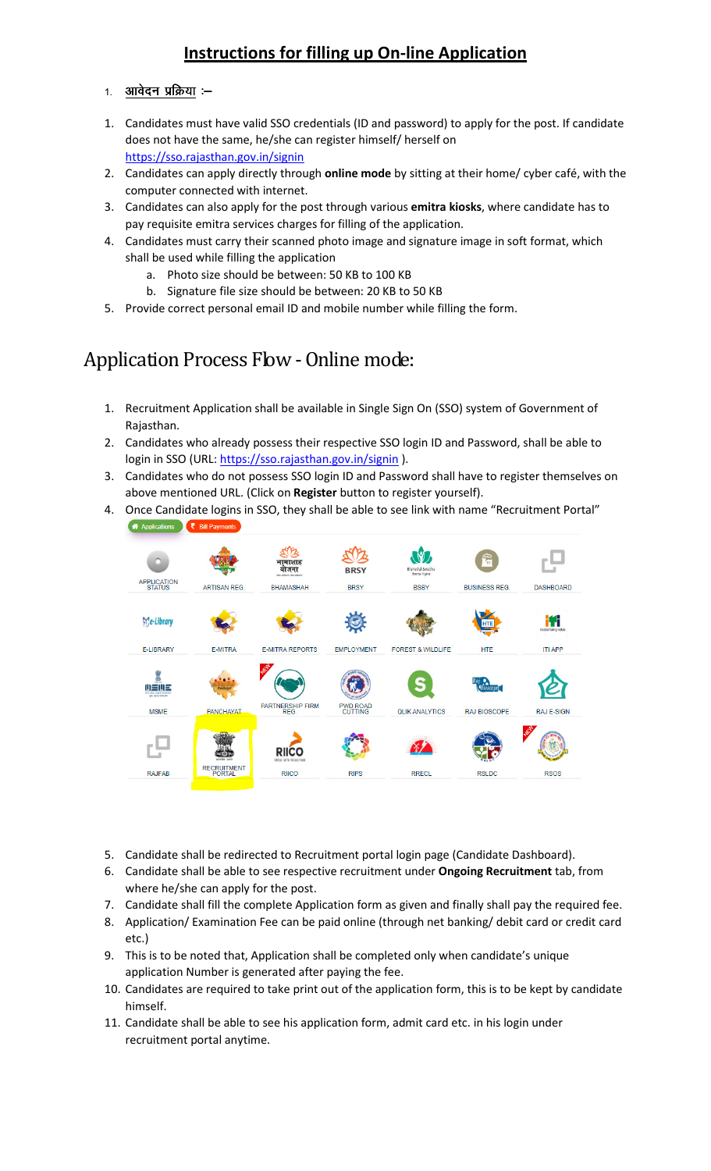#### Instructions for filling up On-line Application

- 1. <u>आवेदन प्रक्रिया</u> :– Ī.
- 1. Candidates must have valid SSO credentials (ID and password) to apply for the post. If candidate does not have the same, he/she can register himself/ herself on https://sso.rajasthan.gov.in/signin
- 2. Candidates can apply directly through online mode by sitting at their home/ cyber café, with the computer connected with internet.
- 3. Candidates can also apply for the post through various emitra kiosks, where candidate has to pay requisite emitra services charges for filling of the application.
- 4. Candidates must carry their scanned photo image and signature image in soft format, which shall be used while filling the application
	- a. Photo size should be between: 50 KB to 100 KB
	- b. Signature file size should be between: 20 KB to 50 KB
- 5. Provide correct personal email ID and mobile number while filling the form.

# Application Process Flow - Online mode:

- 1. Recruitment Application shall be available in Single Sign On (SSO) system of Government of Rajasthan.
- 2. Candidates who already possess their respective SSO login ID and Password, shall be able to login in SSO (URL: https://sso.rajasthan.gov.in/signin).
- 3. Candidates who do not possess SSO login ID and Password shall have to register themselves on above mentioned URL. (Click on Register button to register yourself).
- 4. Once Candidate logins in SSO, they shall be able to see link with name "Recruitment Portal" **A** Applications **₹** Bill Payments



- 5. Candidate shall be redirected to Recruitment portal login page (Candidate Dashboard).
- 6. Candidate shall be able to see respective recruitment under Ongoing Recruitment tab, from where he/she can apply for the post.
- 7. Candidate shall fill the complete Application form as given and finally shall pay the required fee.
- 8. Application/ Examination Fee can be paid online (through net banking/ debit card or credit card etc.)
- 9. This is to be noted that, Application shall be completed only when candidate's unique application Number is generated after paying the fee.
- 10. Candidates are required to take print out of the application form, this is to be kept by candidate himself.
- 11. Candidate shall be able to see his application form, admit card etc. in his login under recruitment portal anytime.